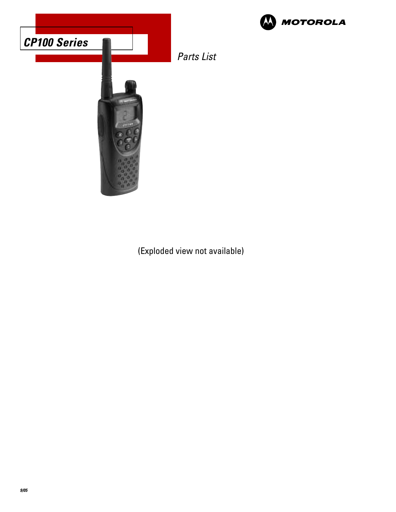



**W** MOTOROLA

(Exploded view not available)

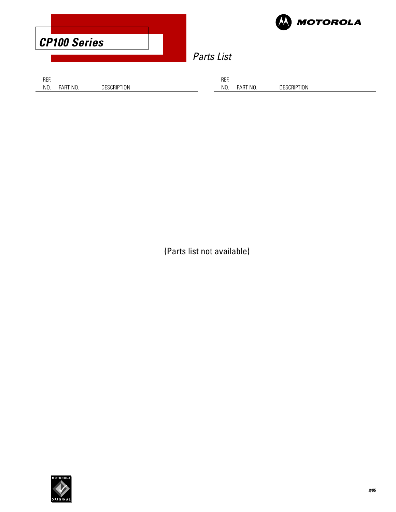|                            |             |  |                         | <b>MOTOROLA</b> |
|----------------------------|-------------|--|-------------------------|-----------------|
| <b>CP100 Series</b>        |             |  |                         |                 |
| Parts List                 |             |  |                         |                 |
| REF.<br>NO.<br>PART NO.    | DESCRIPTION |  | REF.<br>NO.<br>PART NO. | DESCRIPTION     |
|                            |             |  |                         |                 |
|                            |             |  |                         |                 |
|                            |             |  |                         |                 |
|                            |             |  |                         |                 |
|                            |             |  |                         |                 |
|                            |             |  |                         |                 |
|                            |             |  |                         |                 |
| (Parts list not available) |             |  |                         |                 |
|                            |             |  |                         |                 |
|                            |             |  |                         |                 |
|                            |             |  |                         |                 |
|                            |             |  |                         |                 |
|                            |             |  |                         |                 |
|                            |             |  |                         |                 |
|                            |             |  |                         |                 |
|                            |             |  |                         |                 |

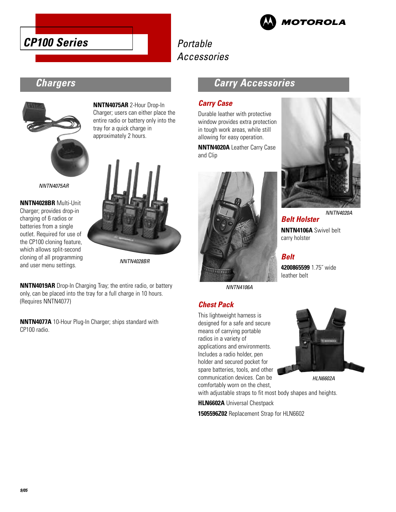



# Portable Accessories

# **Chargers**



NNTN4075AR

**NNTN4028BR** Multi-Unit Charger; provides drop-in charging of 6 radios or batteries from a single outlet. Required for use of the CP100 cloning feature, which allows split-second cloning of all programming and user menu settings.

**NNTN4075AR** 2-Hour Drop-In Charger; users can either place the entire radio or battery only into the tray for a quick charge in approximately 2 hours.



NNTN4028BR

**NNTN4019AR** Drop-In Charging Tray; the entire radio, or battery only, can be placed into the tray for a full charge in 10 hours. (Requires NNTN4077)

**NNTN4077A** 10-Hour Plug-In Charger; ships standard with CP100 radio.

## **Carry Accessories**

### **Carry Case**

Durable leather with protective window provides extra protection in tough work areas, while still allowing for easy operation.

**NNTN4020A** Leather Carry Case and Clip



NNTN4106A

#### **Chest Pack**

This lightweight harness is designed for a safe and secure means of carrying portable radios in a variety of applications and environments. Includes a radio holder, pen holder and secured pocket for spare batteries, tools, and other communication devices. Can be comfortably worn on the chest,



**Belt Holster NNTN4106A** Swivel belt carry holster

#### **Belt**

**4200865599** 1.75˝ wide leather belt



HLN6602A

with adjustable straps to fit most body shapes and heights.

**HLN6602A** Universal Chestpack

**1505596Z02** Replacement Strap for HLN6602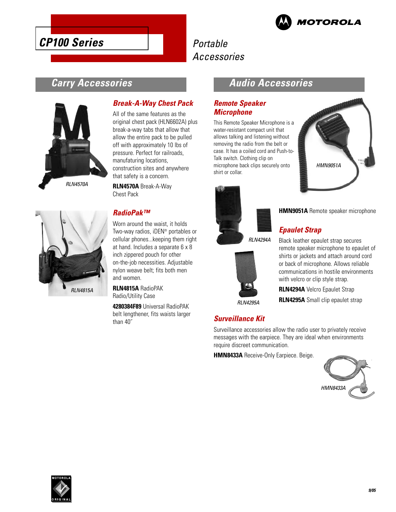

# **CP100 Series**

# Portable Accessories

# **Carry Accessories**





#### **Break-A-Way Chest Pack**

All of the same features as the original chest pack (HLN6602A) plus break-a-way tabs that allow that allow the entire pack to be pulled off with approximately 10 lbs of pressure. Perfect for railroads, manufaturing locations, construction sites and anywhere that safety is a concern.

**RLN4570A** Break-A-Way Chest Pack

#### **RadioPak™**

Worn around the waist, it holds Two-way radios, iDEN® portables or cellular phones...keeping them right at hand. Includes a separate 6 x 8 inch zippered pouch for other on-the-job necessities. Adjustable nylon weave belt; fits both men and women.

**RLN4815A** RadioPAK Radio/Utility Case

**4280384F89** Universal RadioPAK belt lengthener, fits waists larger than 40˝

## **Audio Accessories**

#### **Remote Speaker Microphone**

This Remote Speaker Microphone is a water-resistant compact unit that allows talking and listening without removing the radio from the belt or case. It has a coiled cord and Push-to-Talk switch. Clothing clip on microphone back clips securely onto shirt or collar.





#### **HMN9051A** Remote speaker microphone

#### **Epaulet Strap**

RLN4294A



Black leather epaulet strap secures remote speaker microphone to epaulet of shirts or jackets and attach around cord or back of microphone. Allows reliable communications in hostile environments with velcro or clip style strap.

**RLN4294A** Velcro Epaulet Strap **RLN4295A** Small clip epaulet strap

RLN4295A

#### **Surveillance Kit**

Surveillance accessories allow the radio user to privately receive messages with the earpiece. They are ideal when environments require discreet communication.

**HMN8433A** Receive-Only Earpiece. Beige.



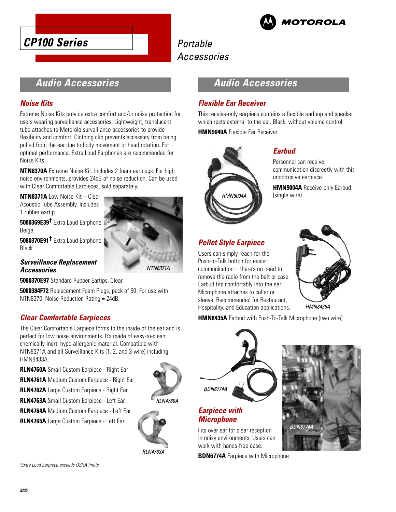



# Portable Accessories

## **Audio Accessories**

#### **Noise Kits**

Extreme Noise Kits provide extra comfort and/or noise protection for users wearing surveillance accessories. Lightweight, translucent tube attaches to Motorola surveillance accessories to provide flexibility and comfort. Clothing clip prevents accessory from being pulled from the ear due to body movement or head rotation. For optimal performance, Extra Loud Earphones are recommended for Noise Kits.

**NTN8370A** Extreme Noise Kit. Includes 2 foam earplugs. For high noise environments, provides 24dB of noise reduction. Can be used with Clear Comfortable Earpieces, sold separately.

**NTN8371A** Low Noise Kit – Clear Acoustic Tube Assembly. Includes 1 rubber eartip.

**5080369E39†** Extra Loud Earphone. Beige.

**5080370E91†** Extra Loud Earphone. Black.



#### **Surveillance Replacement Accessories**

**5080370E97** Standard Rubber Eartips, Clear.

**5080384F72** Replacement Foam Plugs, pack of 50. For use with NTN8370. Noise Reduction Rating = 24dB.

#### **Clear Comfortable Earpieces**

The Clear Comfortable Earpiece forms to the inside of the ear and is perfect for low noise environments. It's made of easy-to-clean, chemically-inert, hypo-allergenic material. Compatible with NTN8371A and all Surveillance Kits (1, 2, and 3-wire) including HMN8433A.

**RLN4760A** Small Custom Earpiece - Right Ear

**RLN4761A** Medium Custom Earpiece - Right Ear

**RLN4762A** Large Custom Earpiece - Right Ear

**RLN4763A** Small Custom Earpiece - Left Ear

**RLN4764A** Medium Custom Earpiece - Left Ear

**RLN4765A** Large Custom Earpiece - Left Ear



RLN4763A

# **Audio Accessories**

#### **Flexible Ear Receiver**

This receive-only earpiece contains a flexible earloop and speaker which rests external to the ear. Black, without volume control.

**HMN9040A** Flexible Ear Receiver



#### **Earbud**

Personnel can receive communication discreetly with this unobtrusive earpiece.

**HMN9004A** Receive-only Earbud (single wire)

## **Pellet Style Earpiece**

Users can simply reach for the Push-to-Talk button for easier communication – there's no need to remove the radio from the belt or case. Earbud fits comfortably into the ear. Microphone attaches to collar or sleeve. Recommended for Restaurant, Hospitality, and Education applications.



HMN8435A

**HMN8435A** Earbud with Push-To-Talk Microphone (two wire)



**Earpiece with Microphone** 

Fits over ear for clear reception in noisy environments. Users can work with hands-free ease.

**BDN6774A** Earpiece with Microphone



† Extra Loud Earpiece exceeds OSHA limits.